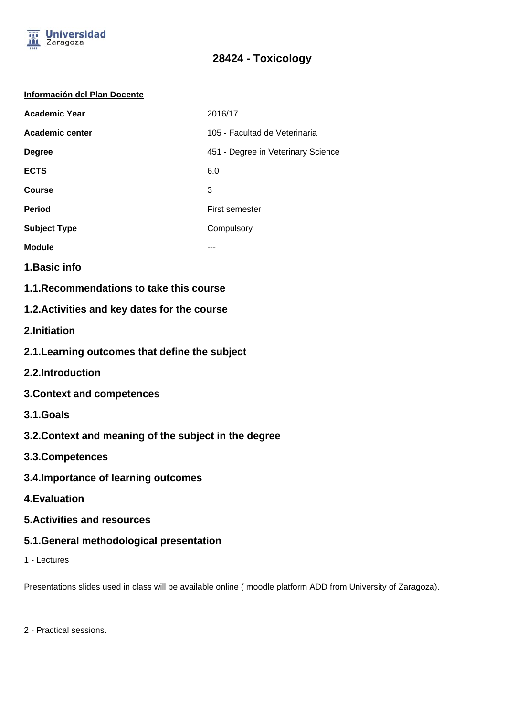

# **28424 - Toxicology**

## **Información del Plan Docente**

| <b>Academic Year</b> | 2016/17                            |
|----------------------|------------------------------------|
| Academic center      | 105 - Facultad de Veterinaria      |
| <b>Degree</b>        | 451 - Degree in Veterinary Science |
| <b>ECTS</b>          | 6.0                                |
| Course               | 3                                  |
| <b>Period</b>        | First semester                     |
| <b>Subject Type</b>  | Compulsory                         |
| <b>Module</b>        |                                    |

- **1.Basic info**
- **1.1.Recommendations to take this course**

## **1.2.Activities and key dates for the course**

- **2.Initiation**
- **2.1.Learning outcomes that define the subject**
- **2.2.Introduction**
- **3.Context and competences**
- **3.1.Goals**
- **3.2.Context and meaning of the subject in the degree**
- **3.3.Competences**
- **3.4.Importance of learning outcomes**
- **4.Evaluation**
- **5.Activities and resources**
- **5.1.General methodological presentation**
- 1 Lectures

Presentations slides used in class will be available online ( moodle platform ADD from University of Zaragoza).

2 - Practical sessions.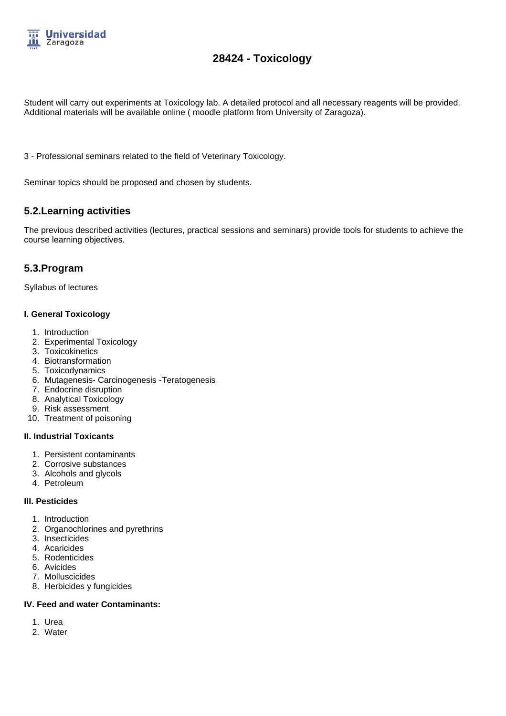

# **28424 - Toxicology**

Student will carry out experiments at Toxicology lab. A detailed protocol and all necessary reagents will be provided. Additional materials will be available online ( moodle platform from University of Zaragoza).

3 - Professional seminars related to the field of Veterinary Toxicology.

Seminar topics should be proposed and chosen by students.

## **5.2.Learning activities**

The previous described activities (lectures, practical sessions and seminars) provide tools for students to achieve the course learning objectives.

## **5.3.Program**

Syllabus of lectures

#### **I. General Toxicology**

- 1. Introduction
- 2. Experimental Toxicology
- 3. Toxicokinetics
- 4. Biotransformation
- 5. Toxicodynamics
- 6. Mutagenesis- Carcinogenesis -Teratogenesis
- 7. Endocrine disruption
- 8. Analytical Toxicology
- 9. Risk assessment
- 10. Treatment of poisoning

## **II. Industrial Toxicants**

- 1. Persistent contaminants
- 2. Corrosive substances
- 3. Alcohols and glycols
- 4. Petroleum

#### **III. Pesticides**

- 1. Introduction
- 2. Organochlorines and pyrethrins
- 3. Insecticides
- 4. Acaricides
- 5. Rodenticides
- 6. Avicides
- 7. Molluscicides
- 8. Herbicides y fungicides

## **IV. Feed and water Contaminants:**

- 1. Urea
- 2. Water